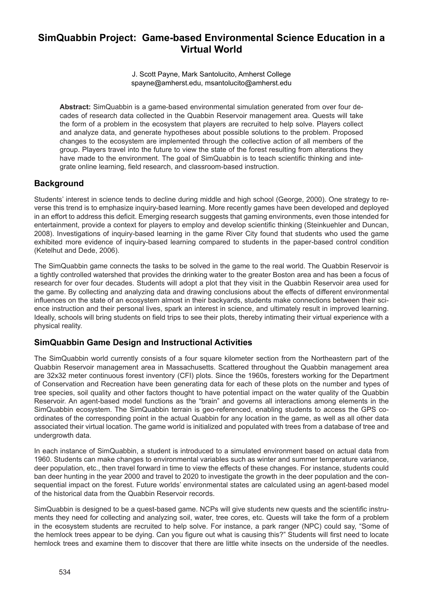# **SimQuabbin Project: Game-based Environmental Science Education in a Virtual World**

J. Scott Payne, Mark Santolucito, Amherst College spayne@amherst.edu, msantolucito@amherst.edu

**Abstract:** SimQuabbin is a game-based environmental simulation generated from over four decades of research data collected in the Quabbin Reservoir management area. Quests will take the form of a problem in the ecosystem that players are recruited to help solve. Players collect and analyze data, and generate hypotheses about possible solutions to the problem. Proposed changes to the ecosystem are implemented through the collective action of all members of the group. Players travel into the future to view the state of the forest resulting from alterations they have made to the environment. The goal of SimQuabbin is to teach scientific thinking and integrate online learning, field research, and classroom-based instruction.

## **Background**

Students' interest in science tends to decline during middle and high school (George, 2000). One strategy to reverse this trend is to emphasize inquiry-based learning. More recently games have been developed and deployed in an effort to address this deficit. Emerging research suggests that gaming environments, even those intended for entertainment, provide a context for players to employ and develop scientific thinking (Steinkuehler and Duncan, 2008). Investigations of inquiry-based learning in the game River City found that students who used the game exhibited more evidence of inquiry-based learning compared to students in the paper-based control condition (Ketelhut and Dede, 2006).

The SimQuabbin game connects the tasks to be solved in the game to the real world. The Quabbin Reservoir is a tightly controlled watershed that provides the drinking water to the greater Boston area and has been a focus of research for over four decades. Students will adopt a plot that they visit in the Quabbin Reservoir area used for the game. By collecting and analyzing data and drawing conclusions about the effects of different environmental influences on the state of an ecosystem almost in their backyards, students make connections between their science instruction and their personal lives, spark an interest in science, and ultimately result in improved learning. Ideally, schools will bring students on field trips to see their plots, thereby intimating their virtual experience with a physical reality.

## **SimQuabbin Game Design and Instructional Activities**

The SimQuabbin world currently consists of a four square kilometer section from the Northeastern part of the Quabbin Reservoir management area in Massachusetts. Scattered throughout the Quabbin management area are 32x32 meter continuous forest inventory (CFI) plots. Since the 1960s, foresters working for the Department of Conservation and Recreation have been generating data for each of these plots on the number and types of tree species, soil quality and other factors thought to have potential impact on the water quality of the Quabbin Reservoir. An agent-based model functions as the "brain" and governs all interactions among elements in the SimQuabbin ecosystem. The SimQuabbin terrain is geo-referenced, enabling students to access the GPS coordinates of the corresponding point in the actual Quabbin for any location in the game, as well as all other data associated their virtual location. The game world is initialized and populated with trees from a database of tree and undergrowth data.

In each instance of SimQuabbin, a student is introduced to a simulated environment based on actual data from 1960. Students can make changes to environmental variables such as winter and summer temperature variance, deer population, etc., then travel forward in time to view the effects of these changes. For instance, students could ban deer hunting in the year 2000 and travel to 2020 to investigate the growth in the deer population and the consequential impact on the forest. Future worlds' environmental states are calculated using an agent-based model of the historical data from the Quabbin Reservoir records.

SimQuabbin is designed to be a quest-based game. NCPs will give students new quests and the scientific instruments they need for collecting and analyzing soil, water, tree cores, etc. Quests will take the form of a problem in the ecosystem students are recruited to help solve. For instance, a park ranger (NPC) could say, "Some of the hemlock trees appear to be dying. Can you figure out what is causing this?" Students will first need to locate hemlock trees and examine them to discover that there are little white insects on the underside of the needles.